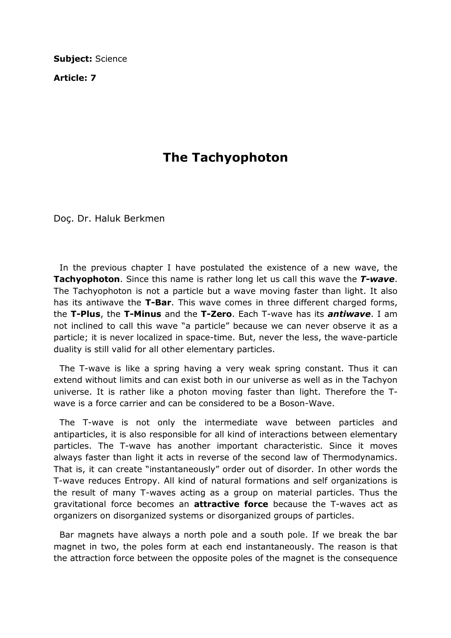Subject: Science

Article: 7

## The Tachyophoton

Doç. Dr. Haluk Berkmen

 In the previous chapter I have postulated the existence of a new wave, the Tachyophoton. Since this name is rather long let us call this wave the T-wave. The Tachyophoton is not a particle but a wave moving faster than light. It also has its antiwave the **T-Bar**. This wave comes in three different charged forms, the T-Plus, the T-Minus and the T-Zero. Each T-wave has its *antiwave*. I am not inclined to call this wave "a particle" because we can never observe it as a particle; it is never localized in space-time. But, never the less, the wave-particle duality is still valid for all other elementary particles.

 The T-wave is like a spring having a very weak spring constant. Thus it can extend without limits and can exist both in our universe as well as in the Tachyon universe. It is rather like a photon moving faster than light. Therefore the Twave is a force carrier and can be considered to be a Boson-Wave.

 The T-wave is not only the intermediate wave between particles and antiparticles, it is also responsible for all kind of interactions between elementary particles. The T-wave has another important characteristic. Since it moves always faster than light it acts in reverse of the second law of Thermodynamics. That is, it can create "instantaneously" order out of disorder. In other words the T-wave reduces Entropy. All kind of natural formations and self organizations is the result of many T-waves acting as a group on material particles. Thus the gravitational force becomes an **attractive force** because the T-waves act as organizers on disorganized systems or disorganized groups of particles.

 Bar magnets have always a north pole and a south pole. If we break the bar magnet in two, the poles form at each end instantaneously. The reason is that the attraction force between the opposite poles of the magnet is the consequence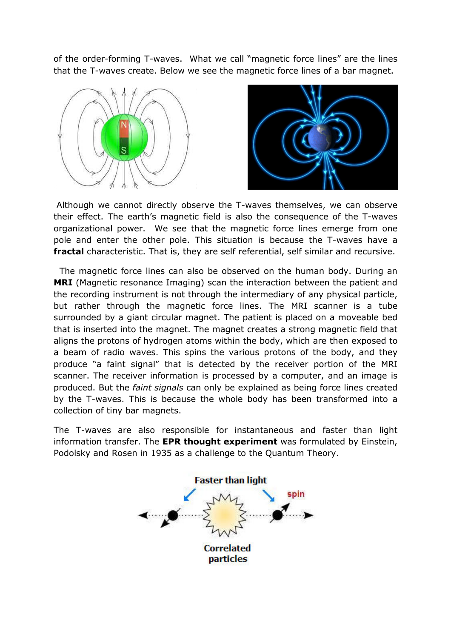of the order-forming T-waves. What we call "magnetic force lines" are the lines that the T-waves create. Below we see the magnetic force lines of a bar magnet.





 Although we cannot directly observe the T-waves themselves, we can observe their effect. The earth's magnetic field is also the consequence of the T-waves organizational power. We see that the magnetic force lines emerge from one pole and enter the other pole. This situation is because the T-waves have a fractal characteristic. That is, they are self referential, self similar and recursive.

 The magnetic force lines can also be observed on the human body. During an **MRI** (Magnetic resonance Imaging) scan the interaction between the patient and the recording instrument is not through the intermediary of any physical particle, but rather through the magnetic force lines. The MRI scanner is a tube surrounded by a giant circular magnet. The patient is placed on a moveable bed that is inserted into the magnet. The magnet creates a strong magnetic field that aligns the protons of hydrogen atoms within the body, which are then exposed to a beam of radio waves. This spins the various protons of the body, and they produce "a faint signal" that is detected by the receiver portion of the MRI scanner. The receiver information is processed by a computer, and an image is produced. But the faint signals can only be explained as being force lines created by the T-waves. This is because the whole body has been transformed into a collection of tiny bar magnets.

The T-waves are also responsible for instantaneous and faster than light information transfer. The EPR thought experiment was formulated by Einstein, Podolsky and Rosen in 1935 as a challenge to the Quantum Theory.